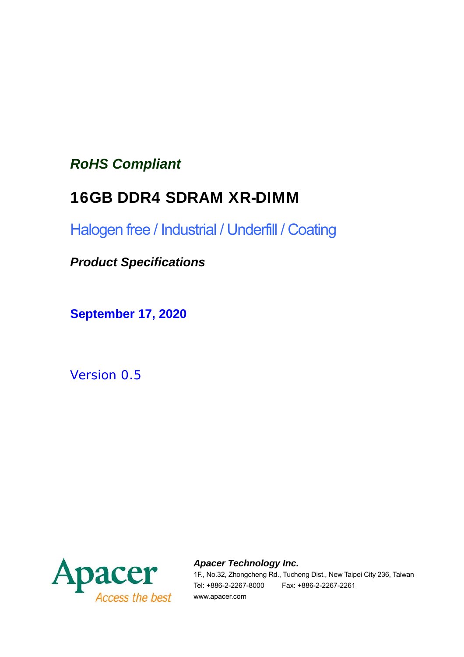### *RoHS Compliant*

### 16GB DDR4 SDRAM XR-DIMM

Halogen free / Industrial / Underfill / Coating

*Product Specifications*

**September 17, 2020**

*Version 0.5* 



*Apacer Technology Inc.*

1F., No.32, Zhongcheng Rd., Tucheng Dist., New Taipei City 236, Taiwan Tel: +886-2-2267-8000 Fax: +886-2-2267-2261 www.apacer.com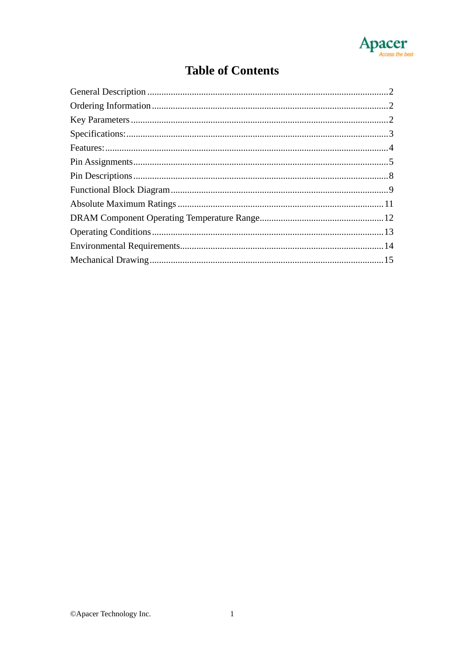

### **Table of Contents**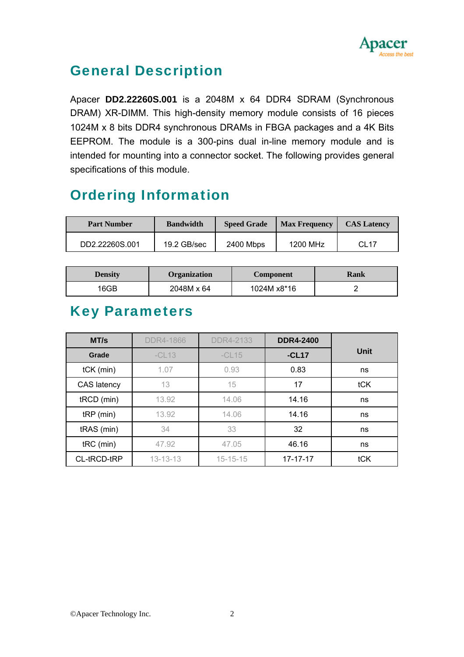

### General Description

Apacer **DD2.22260S.001** is a 2048M x 64 DDR4 SDRAM (Synchronous DRAM) XR-DIMM. This high-density memory module consists of 16 pieces 1024M x 8 bits DDR4 synchronous DRAMs in FBGA packages and a 4K Bits EEPROM. The module is a 300-pins dual in-line memory module and is intended for mounting into a connector socket. The following provides general specifications of this module.

### Ordering Information

| <b>Part Number</b> | <b>Bandwidth</b> | <b>Speed Grade</b> | <b>Max Frequency</b> | <b>CAS Latency</b> |
|--------------------|------------------|--------------------|----------------------|--------------------|
| DD2.22260S.001     | 19.2 GB/sec      | 2400 Mbps          | 1200 MHz             | CL <sub>17</sub>   |

| <b>Density</b> | <b>Organization</b> | Component   | Rank |
|----------------|---------------------|-------------|------|
| 16GB           | 2048M x 64          | 1024M x8*16 |      |

### Key Parameters

| MT/s        | <b>DDR4-1866</b> | <b>DDR4-2133</b> | <b>DDR4-2400</b> |      |
|-------------|------------------|------------------|------------------|------|
| Grade       | $-CL13$          | $-CL15$          | $-CL17$          | Unit |
| $tCK$ (min) | 1.07             | 0.93             | 0.83             | ns   |
| CAS latency | 13               | 15               | 17               | tCK  |
| tRCD (min)  | 13.92            | 14.06            | 14.16            | ns   |
| $tRP$ (min) | 13.92            | 14.06            | 14.16            | ns   |
| tRAS (min)  | 34               | 33               | 32               | ns   |
| $tRC$ (min) | 47.92            | 47.05            | 46.16            | ns   |
| CL-tRCD-tRP | $13 - 13 - 13$   | $15 - 15 - 15$   | $17 - 17 - 17$   | tCK  |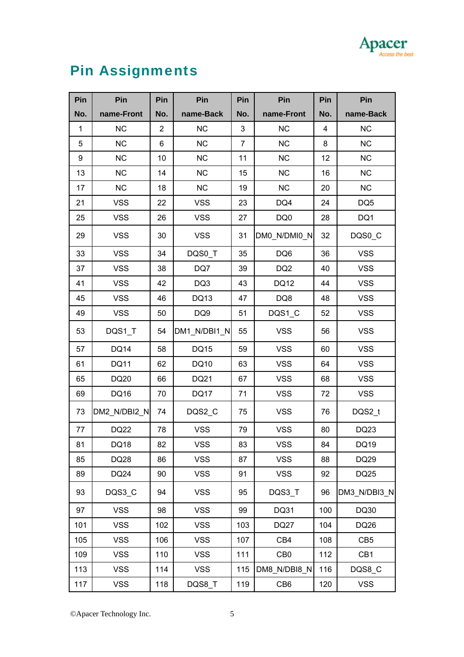# Apacer

# Pin Assignments

| Pin              | Pin          | Pin            | Pin             | Pin | Pin             | Pin            | Pin             |
|------------------|--------------|----------------|-----------------|-----|-----------------|----------------|-----------------|
| No.              | name-Front   | No.            | name-Back       | No. | name-Front      | No.            | name-Back       |
| $\mathbf{1}$     | <b>NC</b>    | $\overline{2}$ | <b>NC</b>       | 3   | <b>NC</b>       | $\overline{4}$ | <b>NC</b>       |
| 5                | <b>NC</b>    | 6              | <b>NC</b>       | 7   | <b>NC</b>       | 8              | <b>NC</b>       |
| $\boldsymbol{9}$ | <b>NC</b>    | 10             | <b>NC</b>       | 11  | <b>NC</b>       | 12             | <b>NC</b>       |
| 13               | <b>NC</b>    | 14             | <b>NC</b>       | 15  | <b>NC</b>       | 16             | NC              |
| 17               | <b>NC</b>    | 18             | NC              | 19  | <b>NC</b>       | 20             | <b>NC</b>       |
| 21               | <b>VSS</b>   | 22             | <b>VSS</b>      | 23  | DQ4             | 24             | DQ <sub>5</sub> |
| 25               | <b>VSS</b>   | 26             | <b>VSS</b>      | 27  | DQ0             | 28             | DQ1             |
| 29               | <b>VSS</b>   | 30             | <b>VSS</b>      | 31  | DM0_N/DMI0_N    | 32             | DQS0_C          |
| 33               | <b>VSS</b>   | 34             | DQS0_T          | 35  | DQ6             | 36             | <b>VSS</b>      |
| 37               | <b>VSS</b>   | 38             | DQ7             | 39  | DQ <sub>2</sub> | 40             | <b>VSS</b>      |
| 41               | <b>VSS</b>   | 42             | DQ3             | 43  | <b>DQ12</b>     | 44             | <b>VSS</b>      |
| 45               | <b>VSS</b>   | 46             | <b>DQ13</b>     | 47  | DQ8             | 48             | <b>VSS</b>      |
| 49               | <b>VSS</b>   | 50             | DQ <sub>9</sub> | 51  | DQS1_C          | 52             | <b>VSS</b>      |
| 53               | DQS1_T       | 54             | DM1_N/DBI1_N    | 55  | <b>VSS</b>      | 56             | <b>VSS</b>      |
| 57               | <b>DQ14</b>  | 58             | <b>DQ15</b>     | 59  | <b>VSS</b>      | 60             | <b>VSS</b>      |
| 61               | <b>DQ11</b>  | 62             | DQ10            | 63  | <b>VSS</b>      | 64             | <b>VSS</b>      |
| 65               | DQ20         | 66             | DQ21            | 67  | <b>VSS</b>      | 68             | <b>VSS</b>      |
| 69               | DQ16         | 70             | <b>DQ17</b>     | 71  | <b>VSS</b>      | 72             | <b>VSS</b>      |
| 73               | DM2_N/DBI2_N | 74             | DQS2_C          | 75  | <b>VSS</b>      | 76             | DQS2_t          |
| 77               | <b>DQ22</b>  | 78             | <b>VSS</b>      | 79  | <b>VSS</b>      | 80             | DQ23            |
| 81               | DQ18         | 82             | <b>VSS</b>      | 83  | VSS             | 84             | DQ19            |
| 85               | DQ28         | 86             | <b>VSS</b>      | 87  | <b>VSS</b>      | 88             | DQ29            |
| 89               | DQ24         | 90             | <b>VSS</b>      | 91  | <b>VSS</b>      | 92             | DQ25            |
| 93               | DQS3_C       | 94             | <b>VSS</b>      | 95  | DQS3_T          | 96             | DM3_N/DBI3_N    |
| 97               | <b>VSS</b>   | 98             | <b>VSS</b>      | 99  | DQ31            | 100            | DQ30            |
| 101              | <b>VSS</b>   | 102            | <b>VSS</b>      | 103 | <b>DQ27</b>     | 104            | DQ26            |
| 105              | <b>VSS</b>   | 106            | <b>VSS</b>      | 107 | CB4             | 108            | CB <sub>5</sub> |
| 109              | <b>VSS</b>   | 110            | <b>VSS</b>      | 111 | CB <sub>0</sub> | 112            | CB1             |
| 113              | <b>VSS</b>   | 114            | <b>VSS</b>      | 115 | DM8_N/DBI8_N    | 116            | DQS8_C          |
| 117              | <b>VSS</b>   | 118            | DQS8_T          | 119 | CB <sub>6</sub> | 120            | <b>VSS</b>      |

©Apacer Technology Inc. 5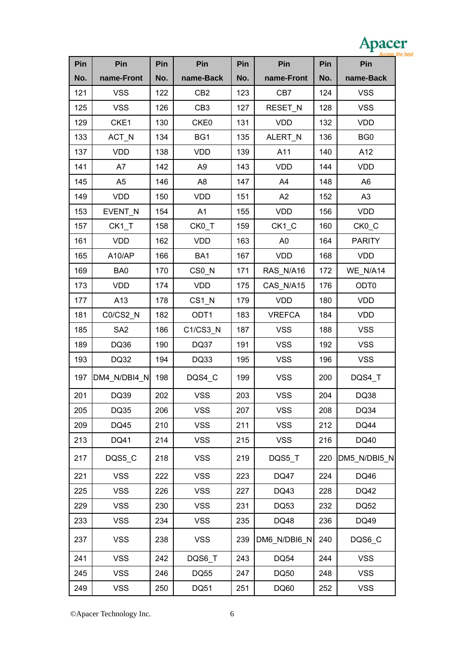| ADAC<br>G |
|-----------|
|           |

| Pin | Pin                | Pin | Pin                 | Pin | Pin            | Pin | Pin               |
|-----|--------------------|-----|---------------------|-----|----------------|-----|-------------------|
| No. | name-Front         | No. | name-Back           | No. | name-Front     | No. | name-Back         |
| 121 | <b>VSS</b>         | 122 | CB <sub>2</sub>     | 123 | CB7            | 124 | <b>VSS</b>        |
| 125 | <b>VSS</b>         | 126 | CB <sub>3</sub>     | 127 | RESET_N        | 128 | <b>VSS</b>        |
| 129 | CKE1               | 130 | CKE0                | 131 | <b>VDD</b>     | 132 | <b>VDD</b>        |
| 133 | ACT_N              | 134 | BG1                 | 135 | ALERT_N        | 136 | BG <sub>0</sub>   |
| 137 | <b>VDD</b>         | 138 | <b>VDD</b>          | 139 | A11            | 140 | A12               |
| 141 | A7                 | 142 | A <sub>9</sub>      | 143 | <b>VDD</b>     | 144 | <b>VDD</b>        |
| 145 | A <sub>5</sub>     | 146 | A <sub>8</sub>      | 147 | A4             | 148 | A <sub>6</sub>    |
| 149 | <b>VDD</b>         | 150 | <b>VDD</b>          | 151 | A2             | 152 | A3                |
| 153 | EVENT_N            | 154 | A1                  | 155 | <b>VDD</b>     | 156 | <b>VDD</b>        |
| 157 | CK <sub>1</sub> _T | 158 | CK0_T               | 159 | $CK1_C$        | 160 | CK <sub>0</sub> C |
| 161 | <b>VDD</b>         | 162 | <b>VDD</b>          | 163 | A <sub>0</sub> | 164 | <b>PARITY</b>     |
| 165 | A10/AP             | 166 | BA1                 | 167 | <b>VDD</b>     | 168 | <b>VDD</b>        |
| 169 | BA0                | 170 | CS0_N               | 171 | RAS N/A16      | 172 | WE_N/A14          |
| 173 | <b>VDD</b>         | 174 | <b>VDD</b>          | 175 | CAS_N/A15      | 176 | ODT <sub>0</sub>  |
| 177 | A13                | 178 | $CS1$ <sub>_N</sub> | 179 | <b>VDD</b>     | 180 | VDD               |
| 181 | C0/CS2_N           | 182 | ODT1                | 183 | <b>VREFCA</b>  | 184 | <b>VDD</b>        |
| 185 | SA <sub>2</sub>    | 186 | C1/CS3_N            | 187 | <b>VSS</b>     | 188 | <b>VSS</b>        |
| 189 | DQ36               | 190 | <b>DQ37</b>         | 191 | <b>VSS</b>     | 192 | <b>VSS</b>        |
| 193 | DQ32               | 194 | DQ33                | 195 | <b>VSS</b>     | 196 | <b>VSS</b>        |
| 197 | DM4_N/DBI4_N       | 198 | DQS4_C              | 199 | <b>VSS</b>     | 200 | DQS4_T            |
| 201 | DQ39               | 202 | <b>VSS</b>          | 203 | <b>VSS</b>     | 204 | <b>DQ38</b>       |
| 205 | DQ35               | 206 | <b>VSS</b>          | 207 | <b>VSS</b>     | 208 | <b>DQ34</b>       |
| 209 | <b>DQ45</b>        | 210 | <b>VSS</b>          | 211 | <b>VSS</b>     | 212 | <b>DQ44</b>       |
| 213 | DQ41               | 214 | <b>VSS</b>          | 215 | <b>VSS</b>     | 216 | DQ40              |
| 217 | DQS5_C             | 218 | <b>VSS</b>          | 219 | DQS5_T         | 220 | DM5_N/DBI5_N      |
| 221 | <b>VSS</b>         | 222 | <b>VSS</b>          | 223 | <b>DQ47</b>    | 224 | DQ46              |
| 225 | <b>VSS</b>         | 226 | <b>VSS</b>          | 227 | DQ43           | 228 | DQ42              |
| 229 | <b>VSS</b>         | 230 | <b>VSS</b>          | 231 | <b>DQ53</b>    | 232 | <b>DQ52</b>       |
| 233 | <b>VSS</b>         | 234 | <b>VSS</b>          | 235 | DQ48           | 236 | DQ49              |
| 237 | <b>VSS</b>         | 238 | <b>VSS</b>          | 239 | DM6_N/DBI6_N   | 240 | DQS6_C            |
| 241 | <b>VSS</b>         | 242 | DQS6_T              | 243 | <b>DQ54</b>    | 244 | <b>VSS</b>        |
| 245 | <b>VSS</b>         | 246 | <b>DQ55</b>         | 247 | <b>DQ50</b>    | 248 | <b>VSS</b>        |
| 249 | <b>VSS</b>         | 250 | <b>DQ51</b>         | 251 | DQ60           | 252 | <b>VSS</b>        |

©Apacer Technology Inc. 6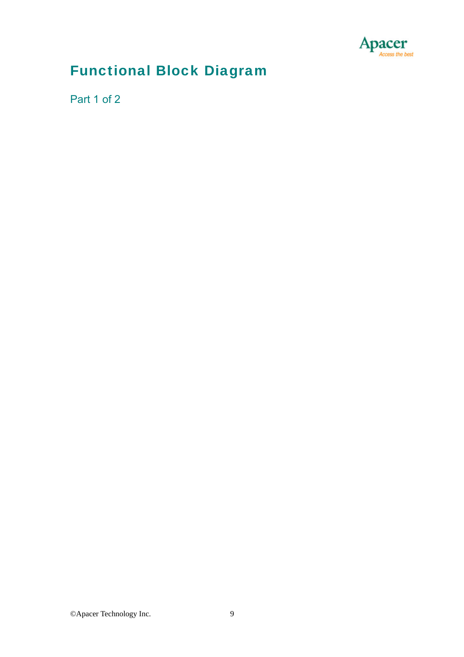

### Functional Block Diagram

Part 1 of 2





1. DQ-to-I/O wiring is shown as recommended but may be changed.

- 2. Unless otherwise noted, resistor values are 15  $\Omega$  ± 5%.
- 3. See the Net Structure diagrams for all resistors associated with the command, address and control bus.

4. ZQ resistors are 240  $\Omega$  ± 1%. For all other resistor values refer to the appropriate wiring diagram.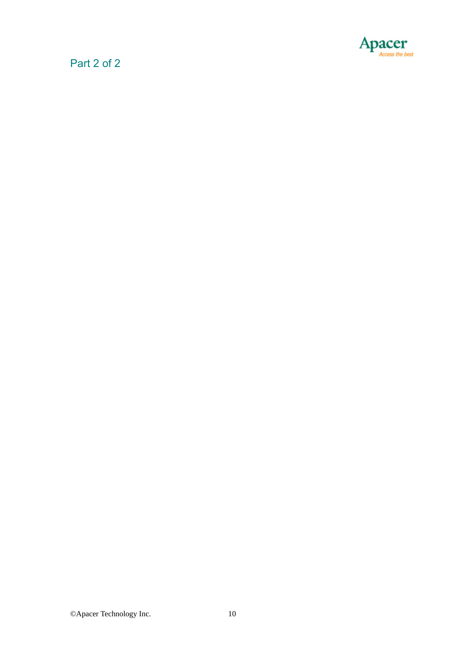

#### Part 2 of 2

| $CKE0 \longrightarrow \text{CKE: SDRAMs U1.U2.U5-U10}$            | Parity: SDRAMs $U1, U2, U5-U12, U14-U19$                 |
|-------------------------------------------------------------------|----------------------------------------------------------|
| CKE1 - CKE: SDRAMs U11, U12, U14-U19                              | ALERT n - > ALERT n: SDRAMs U1, U2, U5-U12, U14-U19      |
| ODTO - ODT: SDRAMs U1,U2,U5-U10                                   | CK0 t $\longrightarrow$ CK t: SDRAMs U1, U2, U5-U10      |
| ODT1 - ODT: SDRAMs U11, U12, U14-U19                              | CKO c $\longrightarrow$ CK c: SDRAMs U1.U2.U5-U10        |
| BA[1:0] BA[1:0]: SDRAMs U1, U2, U5-U12, U14-U19                   |                                                          |
| BG[1:0] - BG[1:0]: SDRAMs U1, U2, U5-U12, U14-U19                 | CK1 $t \longrightarrow CK$ t: SDRAMs U11, U12, U14-U19   |
| A[16:0] - A[16:0]: SDRAMs U1, U2, U5-U12, U14-U19                 | $CK1$ c $\longrightarrow$ CK c: SDRAMs U11, U12, U14-U19 |
| RESET n $\longrightarrow$ RESET n: SDRAMs U1, U2, U5-U12, U14-U19 | $C[1:0]$ $\longrightarrow$ $C[1:0]$ : SDRAMs NC          |





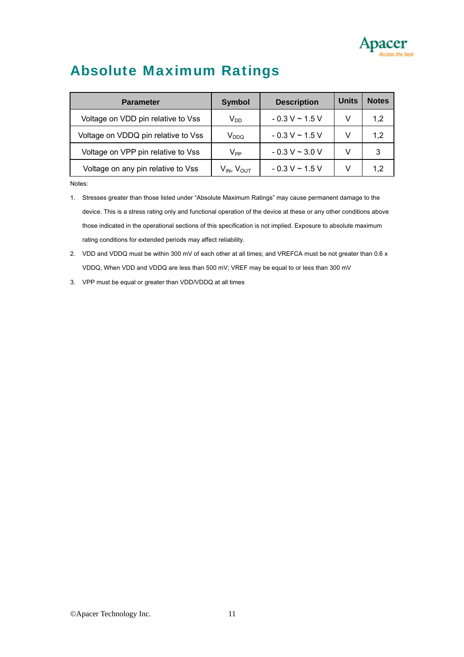

### Absolute Maximum Ratings

| <b>Parameter</b>                    | <b>Symbol</b>               | <b>Description</b>  | <b>Units</b> | <b>Notes</b> |
|-------------------------------------|-----------------------------|---------------------|--------------|--------------|
| Voltage on VDD pin relative to Vss  | $\mathsf{V}_{\mathsf{DD}}$  | $-0.3 V \sim 1.5 V$ | v            | 1,2          |
| Voltage on VDDQ pin relative to Vss | $\mathsf{V}_{\mathsf{DDQ}}$ | $-0.3 V \sim 1.5 V$ | v            | 1,2          |
| Voltage on VPP pin relative to Vss  | $V_{PP}$                    | $-0.3 V \sim 3.0 V$ | V            | 3            |
| Voltage on any pin relative to Vss  | $V_{IN}$ , $V_{OUT}$        | $-0.3 V \sim 1.5 V$ | V            | 1,2          |

Notes:

- 1. Stresses greater than those listed under "Absolute Maximum Ratings" may cause permanent damage to the device. This is a stress rating only and functional operation of the device at these or any other conditions above those indicated in the operational sections of this specification is not implied. Exposure to absolute maximum rating conditions for extended periods may affect reliability.
- 2. VDD and VDDQ must be within 300 mV of each other at all times; and VREFCA must be not greater than 0.6 x VDDQ, When VDD and VDDQ are less than 500 mV; VREF may be equal to or less than 300 mV
- 3. VPP must be equal or greater than VDD/VDDQ at all times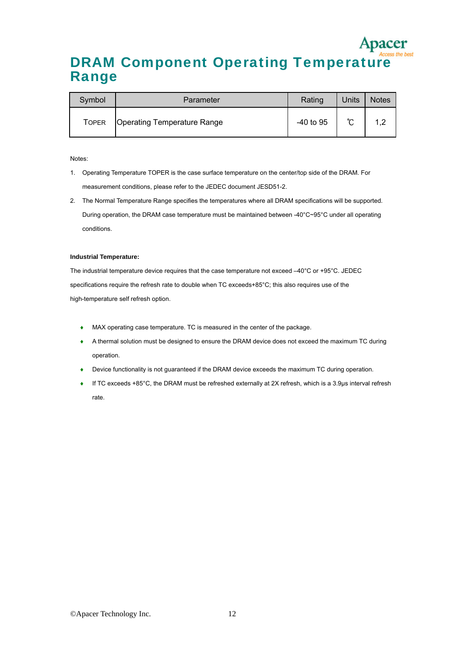### DRAM Component Operating Temperature Range

| Symbol | Parameter                          | Rating    | <b>Units</b> | <b>Notes</b> |
|--------|------------------------------------|-----------|--------------|--------------|
| Toper  | <b>Operating Temperature Range</b> | -40 to 95 | ∽            |              |

Notes:

- 1. Operating Temperature TOPER is the case surface temperature on the center/top side of the DRAM. For measurement conditions, please refer to the JEDEC document JESD51-2.
- 2. The Normal Temperature Range specifies the temperatures where all DRAM specifications will be supported. During operation, the DRAM case temperature must be maintained between -40°C~95°C under all operating conditions.

#### **Industrial Temperature:**

The industrial temperature device requires that the case temperature not exceed –40°C or +95°C. JEDEC specifications require the refresh rate to double when TC exceeds+85°C; this also requires use of the high-temperature self refresh option.

- MAX operating case temperature. TC is measured in the center of the package.
- A thermal solution must be designed to ensure the DRAM device does not exceed the maximum TC during operation.
- Device functionality is not guaranteed if the DRAM device exceeds the maximum TC during operation.
- If TC exceeds +85°C, the DRAM must be refreshed externally at 2X refresh, which is a 3.9µs interval refresh rate.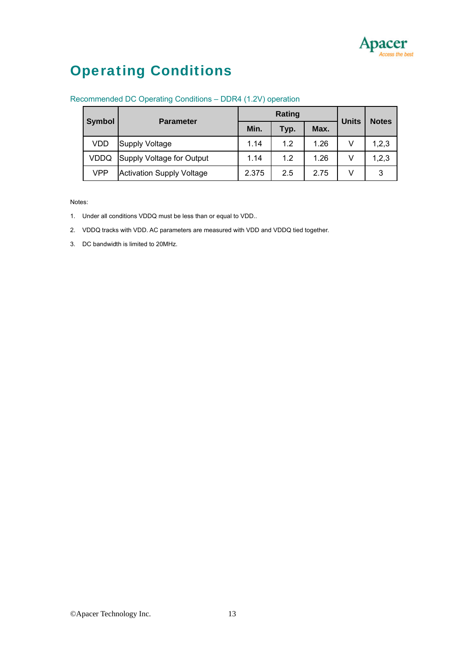

### Operating Conditions

|               | <b>Parameter</b>                 |       | Rating | <b>Units</b> | <b>Notes</b> |       |
|---------------|----------------------------------|-------|--------|--------------|--------------|-------|
| <b>Symbol</b> |                                  | Min.  | Typ.   | Max.         |              |       |
| VDD           | <b>Supply Voltage</b>            | 1.14  | 1.2    | 1.26         | v            | 1,2,3 |
| VDDQ          | Supply Voltage for Output        | 1.14  | 1.2    | 1.26         | V            | 1,2,3 |
| VPP           | <b>Activation Supply Voltage</b> | 2.375 | 2.5    | 2.75         | V            | 3     |

#### Recommended DC Operating Conditions – DDR4 (1.2V) operation

Notes:

- 1. Under all conditions VDDQ must be less than or equal to VDD..
- 2. VDDQ tracks with VDD. AC parameters are measured with VDD and VDDQ tied together.
- 3. DC bandwidth is limited to 20MHz.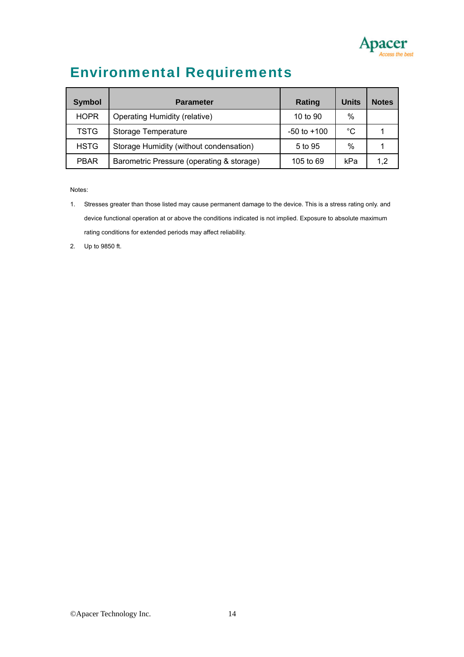

## Environmental Requirements

| Symbol      | <b>Parameter</b>                          | Rating          | <b>Units</b> | <b>Notes</b> |
|-------------|-------------------------------------------|-----------------|--------------|--------------|
| <b>HOPR</b> | <b>Operating Humidity (relative)</b>      | 10 to 90        | $\%$         |              |
| <b>TSTG</b> | Storage Temperature                       | $-50$ to $+100$ | $^{\circ}C$  |              |
| <b>HSTG</b> | Storage Humidity (without condensation)   | 5 to 95         | $\%$         |              |
| <b>PBAR</b> | Barometric Pressure (operating & storage) | 105 to 69       | kPa          | 1.2          |

Notes:

- 1. Stresses greater than those listed may cause permanent damage to the device. This is a stress rating only. and device functional operation at or above the conditions indicated is not implied. Exposure to absolute maximum rating conditions for extended periods may affect reliability.
- 2. Up to 9850 ft.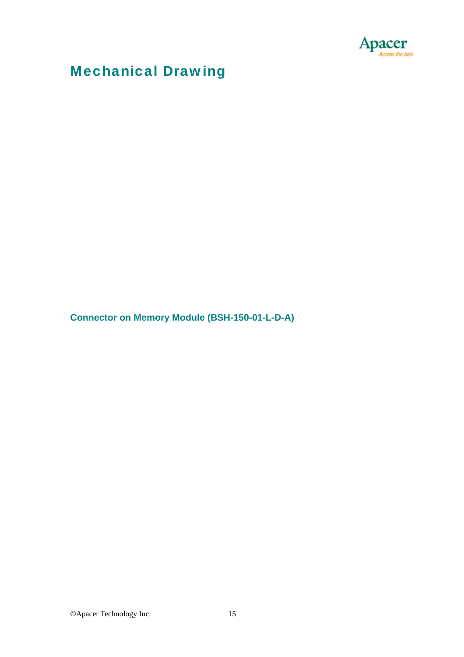



**Connector on Memory Module (BSH-150-01-L-D-A)** 



©Apacer Technology Inc. 15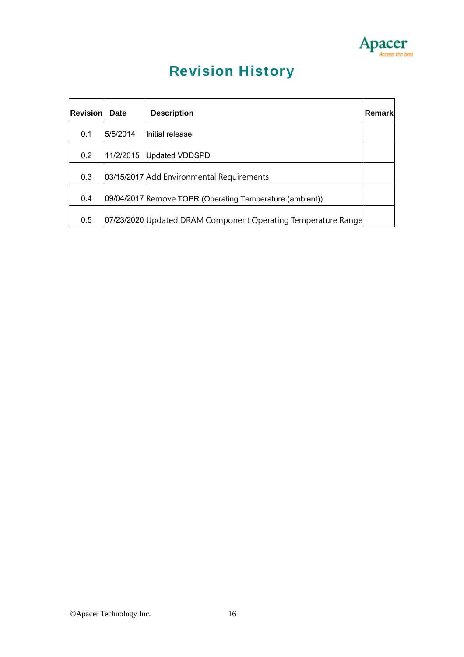

## Revision History

| Revisionl | <b>Date</b> | <b>Description</b>                                            | <b>IRemark</b> |
|-----------|-------------|---------------------------------------------------------------|----------------|
| 0.1       | 5/5/2014    | Initial release                                               |                |
| 0.2       | 11/2/2015   | Updated VDDSPD                                                |                |
| 0.3       |             | 03/15/2017 Add Environmental Requirements                     |                |
| 0.4       |             | 09/04/2017 Remove TOPR (Operating Temperature (ambient))      |                |
| 0.5       |             | 07/23/2020 Updated DRAM Component Operating Temperature Range |                |